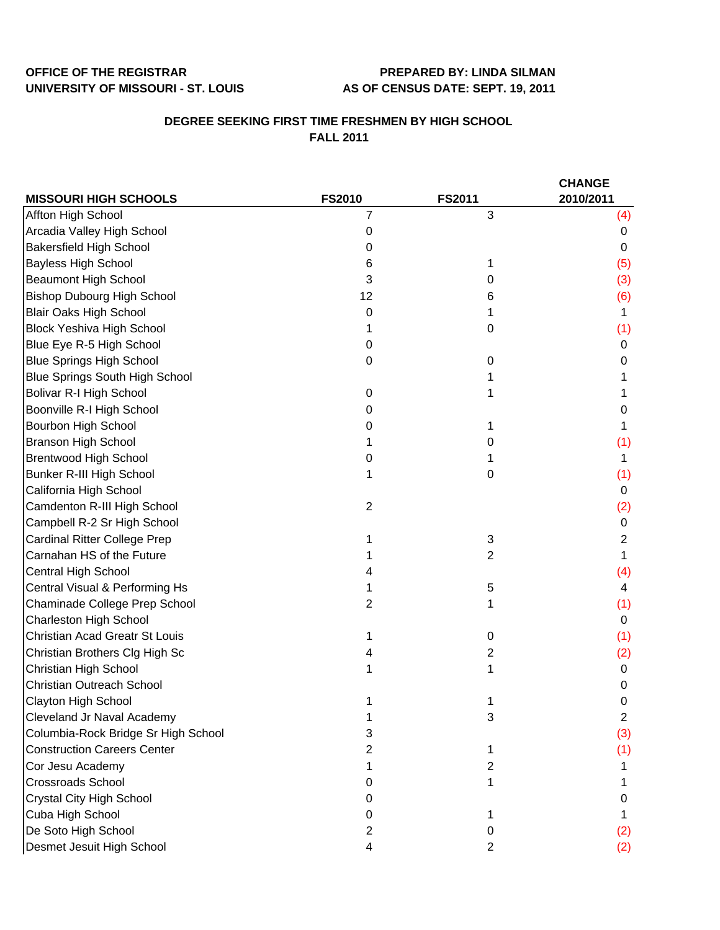## OFFICE OF THE REGISTRAR **PREPARED BY: LINDA SILMAN UNIVERSITY OF MISSOURI - ST. LOUIS AS OF CENSUS DATE: SEPT. 19, 2011**

## **DEGREE SEEKING FIRST TIME FRESHMEN BY HIGH SCHOOL FALL 2011**

|                                       |                |                | <b>CHANGE</b>  |
|---------------------------------------|----------------|----------------|----------------|
| <b>MISSOURI HIGH SCHOOLS</b>          | <b>FS2010</b>  | <b>FS2011</b>  | 2010/2011      |
| Affton High School                    | 7              | 3              | (4)            |
| Arcadia Valley High School            | 0              |                | 0              |
| <b>Bakersfield High School</b>        | 0              |                | 0              |
| <b>Bayless High School</b>            | 6              |                | (5)            |
| <b>Beaumont High School</b>           | 3              | 0              | (3)            |
| <b>Bishop Dubourg High School</b>     | 12             | 6              | (6)            |
| <b>Blair Oaks High School</b>         | 0              |                | 1              |
| <b>Block Yeshiva High School</b>      |                | 0              | (1)            |
| Blue Eye R-5 High School              | 0              |                | 0              |
| <b>Blue Springs High School</b>       | 0              | 0              | 0              |
| <b>Blue Springs South High School</b> |                |                |                |
| <b>Bolivar R-I High School</b>        | 0              |                |                |
| Boonville R-I High School             | 0              |                | 0              |
| Bourbon High School                   | 0              |                | 1              |
| <b>Branson High School</b>            |                | 0              | (1)            |
| <b>Brentwood High School</b>          | 0              |                | 1              |
| Bunker R-III High School              |                | 0              | (1)            |
| California High School                |                |                | 0              |
| Camdenton R-III High School           | $\overline{2}$ |                | (2)            |
| Campbell R-2 Sr High School           |                |                | 0              |
| <b>Cardinal Ritter College Prep</b>   |                | 3              | $\overline{c}$ |
| Carnahan HS of the Future             |                | $\overline{2}$ | 1              |
| Central High School                   |                |                | (4)            |
| Central Visual & Performing Hs        |                | 5              | 4              |
| Chaminade College Prep School         | 2              |                | (1)            |
| <b>Charleston High School</b>         |                |                | 0              |
| Christian Acad Greatr St Louis        |                | $\pmb{0}$      | (1)            |
| Christian Brothers Clg High Sc        |                | 2              | (2)            |
| Christian High School                 |                | 1              | 0              |
| Christian Outreach School             |                |                | 0              |
| Clayton High School                   |                |                | 0              |
| Cleveland Jr Naval Academy            |                | 3              | 2              |
| Columbia-Rock Bridge Sr High School   | 3              |                | (3)            |
| <b>Construction Careers Center</b>    | 2              |                | (1)            |
| Cor Jesu Academy                      |                | 2              |                |
| <b>Crossroads School</b>              | O              |                |                |
| Crystal City High School              | O              |                | 0              |
| Cuba High School                      | O              |                |                |
| De Soto High School                   | 2              | 0              | (2)            |
| Desmet Jesuit High School             | 4              | 2              | (2)            |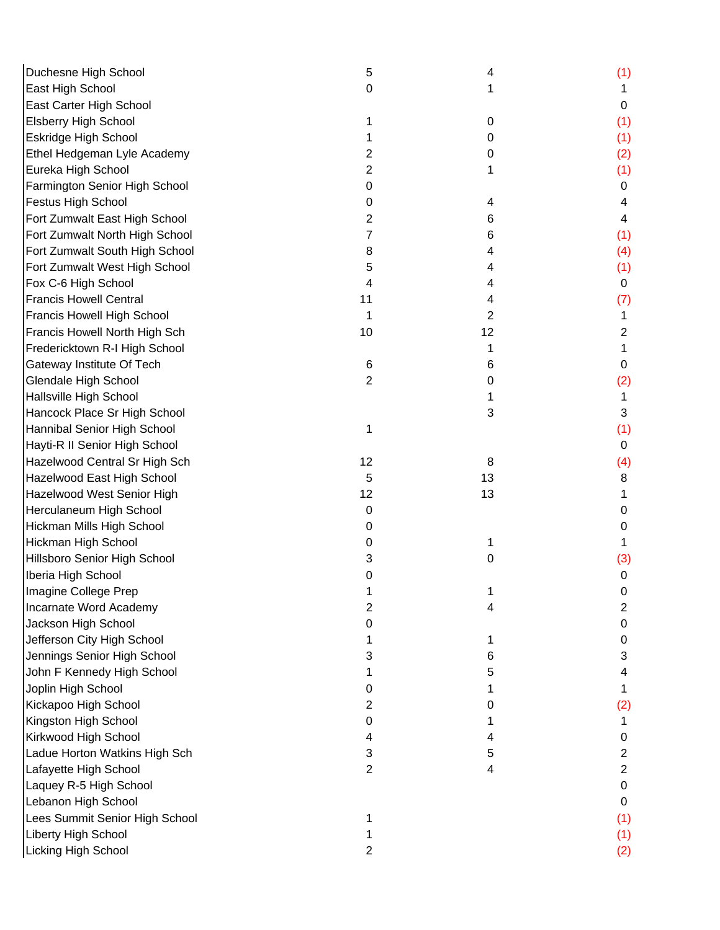| Duchesne High School           | 5  | 4  | (1)            |
|--------------------------------|----|----|----------------|
| East High School               | 0  | 1  | 1              |
| East Carter High School        |    |    | $\mathbf 0$    |
| <b>Elsberry High School</b>    |    | 0  | (1)            |
| <b>Eskridge High School</b>    |    | 0  | (1)            |
| Ethel Hedgeman Lyle Academy    | 2  | 0  | (2)            |
| Eureka High School             | 2  |    | (1)            |
| Farmington Senior High School  | 0  |    | 0              |
| Festus High School             | 0  | 4  | 4              |
| Fort Zumwalt East High School  | 2  | 6  | 4              |
| Fort Zumwalt North High School | 7  | 6  | (1)            |
| Fort Zumwalt South High School | 8  | 4  | (4)            |
| Fort Zumwalt West High School  | 5  | 4  | (1)            |
| Fox C-6 High School            | 4  | 4  | $\mathbf 0$    |
| <b>Francis Howell Central</b>  | 11 | 4  | (7)            |
| Francis Howell High School     | 1  | 2  | 1              |
| Francis Howell North High Sch  | 10 | 12 | 2              |
| Fredericktown R-I High School  |    | 1  | 1              |
| Gateway Institute Of Tech      | 6  | 6  | 0              |
| Glendale High School           | 2  | 0  | (2)            |
| Hallsville High School         |    | 1  | 1              |
| Hancock Place Sr High School   |    | 3  | 3              |
| Hannibal Senior High School    | 1  |    | (1)            |
| Hayti-R II Senior High School  |    |    | $\mathbf 0$    |
| Hazelwood Central Sr High Sch  | 12 | 8  | (4)            |
| Hazelwood East High School     | 5  | 13 | 8              |
| Hazelwood West Senior High     | 12 | 13 |                |
| Herculaneum High School        | 0  |    | 0              |
| Hickman Mills High School      | 0  |    | 0              |
| Hickman High School            | 0  | 1  |                |
| Hillsboro Senior High School   | 3  | 0  | (3)            |
| Iberia High School             | 0  |    | 0              |
| Imagine College Prep           |    |    | 0              |
| Incarnate Word Academy         | 2  | 4  | $\overline{2}$ |
| Jackson High School            | 0  |    | 0              |
| Jefferson City High School     |    | 1  | 0              |
| Jennings Senior High School    | 3  | 6  | 3              |
| John F Kennedy High School     |    | 5  | 4              |
| Joplin High School             | 0  |    |                |
| Kickapoo High School           | 2  | 0  | (2)            |
| Kingston High School           | 0  |    |                |
| Kirkwood High School           | 4  | 4  | 0              |
| Ladue Horton Watkins High Sch  | 3  | 5  | $\overline{2}$ |
| Lafayette High School          | 2  | 4  | $\overline{2}$ |
| Laquey R-5 High School         |    |    | 0              |
| Lebanon High School            |    |    | 0              |
| Lees Summit Senior High School |    |    | (1)            |
| Liberty High School            |    |    | (1)            |
| Licking High School            | 2  |    | (2)            |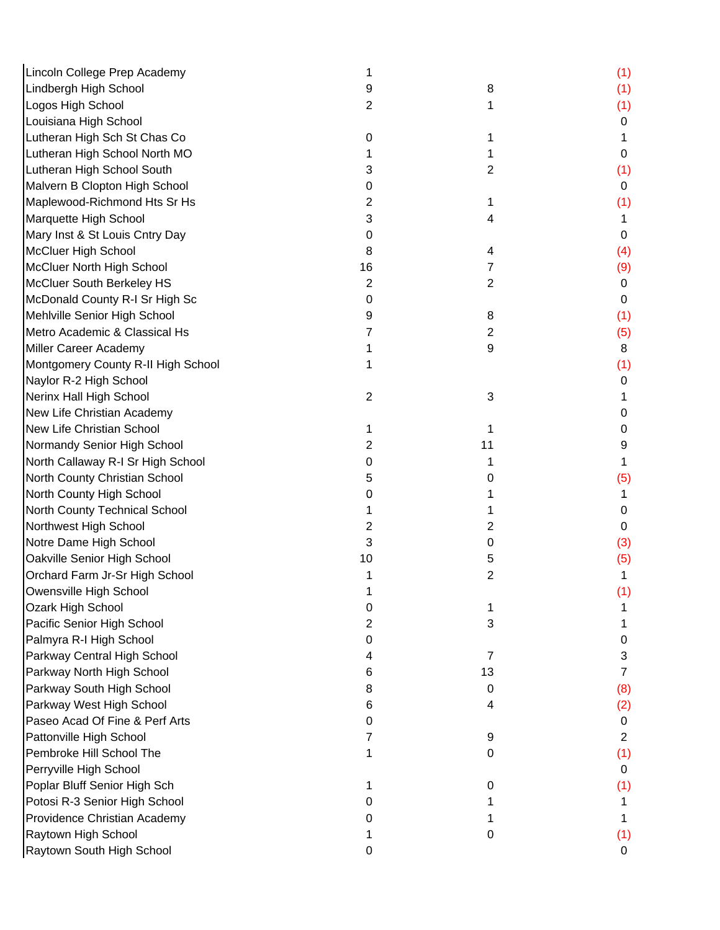| Lincoln College Prep Academy       |                |                | (1)            |
|------------------------------------|----------------|----------------|----------------|
| Lindbergh High School              | 9              | 8              | (1)            |
| Logos High School                  | 2              | 1              | (1)            |
| Louisiana High School              |                |                | 0              |
| Lutheran High Sch St Chas Co       | 0              | 1              |                |
| Lutheran High School North MO      |                |                | 0              |
| Lutheran High School South         | 3              | 2              | (1)            |
| Malvern B Clopton High School      | 0              |                | 0              |
| Maplewood-Richmond Hts Sr Hs       | 2              | 1              | (1)            |
| Marquette High School              | 3              | 4              | 1              |
| Mary Inst & St Louis Cntry Day     | 0              |                | 0              |
| McCluer High School                | 8              | 4              | (4)            |
| McCluer North High School          | 16             | 7              | (9)            |
| McCluer South Berkeley HS          | 2              | $\overline{2}$ | 0              |
| McDonald County R-I Sr High Sc     | 0              |                | 0              |
| Mehlville Senior High School       | 9              | 8              | (1)            |
| Metro Academic & Classical Hs      |                | 2              | (5)            |
| Miller Career Academy              |                | 9              | 8              |
| Montgomery County R-II High School |                |                | (1)            |
| Naylor R-2 High School             |                |                | 0              |
| Nerinx Hall High School            | $\overline{2}$ | 3              |                |
| New Life Christian Academy         |                |                | 0              |
| New Life Christian School          |                | 1              | 0              |
| Normandy Senior High School        | 2              | 11             | 9              |
| North Callaway R-I Sr High School  | 0              |                | 1              |
| North County Christian School      | 5              | 0              | (5)            |
| North County High School           | 0              |                |                |
| North County Technical School      |                | 1              | 0              |
| Northwest High School              | 2              | $\overline{2}$ | 0              |
| Notre Dame High School             | 3              | 0              | (3)            |
| Oakville Senior High School        | 10             | 5              | (5)            |
| Orchard Farm Jr-Sr High School     |                | 2              | 1              |
| Owensville High School             |                |                | (1)            |
| Ozark High School                  | 0              |                |                |
| Pacific Senior High School         | 2              | 3              |                |
| Palmyra R-I High School            | 0              |                | 0              |
| Parkway Central High School        | 4              | 7              | 3              |
| Parkway North High School          | 6              | 13             | $\overline{7}$ |
| Parkway South High School          | 8              | 0              | (8)            |
| Parkway West High School           | 6              | 4              | (2)            |
| Paseo Acad Of Fine & Perf Arts     | O              |                | 0              |
| Pattonville High School            | 7              | 9              | $\overline{2}$ |
| Pembroke Hill School The           |                | 0              | (1)            |
| Perryville High School             |                |                | 0              |
| Poplar Bluff Senior High Sch       |                | 0              | (1)            |
| Potosi R-3 Senior High School      |                |                |                |
| Providence Christian Academy       |                |                |                |
| Raytown High School                |                | 0              | (1)            |
| Raytown South High School          | $\mathbf 0$    |                | 0              |
|                                    |                |                |                |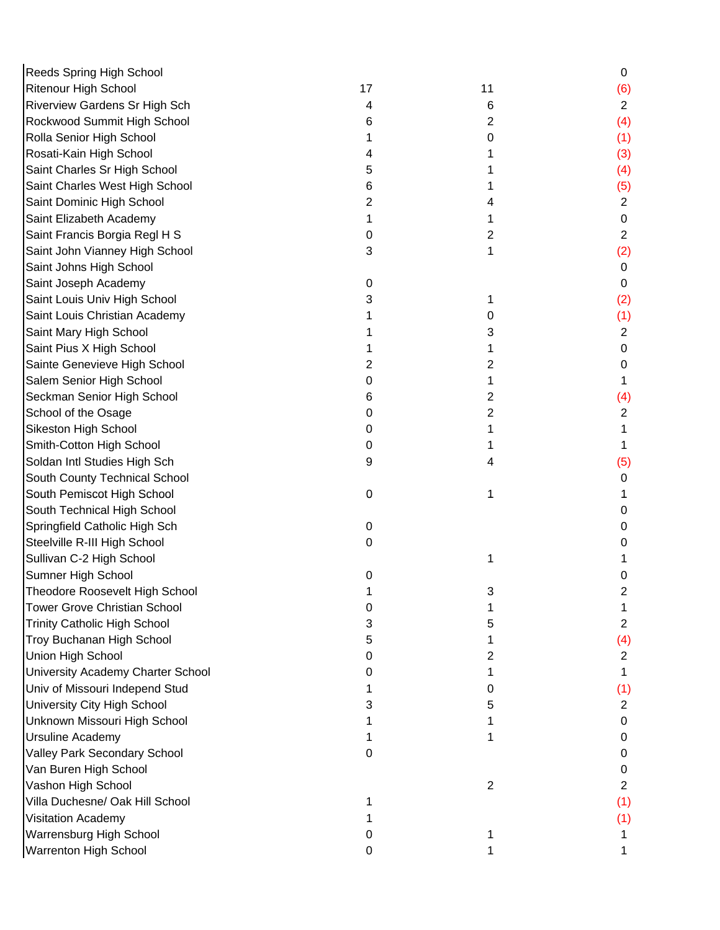| <b>Reeds Spring High School</b>      |    |                | 0              |
|--------------------------------------|----|----------------|----------------|
| <b>Ritenour High School</b>          | 17 | 11             | (6)            |
| <b>Riverview Gardens Sr High Sch</b> | 4  | 6              | $\overline{2}$ |
| Rockwood Summit High School          | 6  | 2              | (4)            |
| Rolla Senior High School             |    | 0              | (1)            |
| Rosati-Kain High School              |    |                | (3)            |
| Saint Charles Sr High School         | 5  |                | (4)            |
| Saint Charles West High School       | 6  |                | (5)            |
| Saint Dominic High School            | 2  | 4              | $\overline{2}$ |
| Saint Elizabeth Academy              | 1  |                | 0              |
| Saint Francis Borgia Regl H S        | 0  | 2              | $\overline{2}$ |
| Saint John Vianney High School       | 3  | 1              | (2)            |
| Saint Johns High School              |    |                | 0              |
| Saint Joseph Academy                 | 0  |                | 0              |
| Saint Louis Univ High School         | 3  |                | (2)            |
| Saint Louis Christian Academy        |    | 0              | (1)            |
| Saint Mary High School               |    | 3              | $\overline{2}$ |
| Saint Pius X High School             |    |                | 0              |
| Sainte Genevieve High School         | 2  | 2              | 0              |
| Salem Senior High School             | 0  |                | 1              |
| Seckman Senior High School           | 6  | 2              | (4)            |
| School of the Osage                  | 0  | $\overline{2}$ | $\overline{2}$ |
| Sikeston High School                 | 0  |                | 1              |
| Smith-Cotton High School             | 0  |                | 1              |
| Soldan Intl Studies High Sch         | 9  | 4              | (5)            |
| South County Technical School        |    |                | 0              |
| South Pemiscot High School           | 0  | 1              |                |
| South Technical High School          |    |                | 0              |
| Springfield Catholic High Sch        | 0  |                | 0              |
| Steelville R-III High School         | 0  |                | 0              |
| Sullivan C-2 High School             |    | 1              |                |
| Sumner High School                   | 0  |                | 0              |
| Theodore Roosevelt High School       |    | ٩              |                |
| <b>Tower Grove Christian School</b>  | 0  |                | 1              |
| <b>Trinity Catholic High School</b>  | 3  | 5              | $\overline{2}$ |
| Troy Buchanan High School            | 5  |                | (4)            |
| Union High School                    | 0  | 2              | $\overline{2}$ |
| University Academy Charter School    | 0  |                | 1              |
| Univ of Missouri Independ Stud       |    | 0              | (1)            |
| University City High School          | 3  | 5              | 2              |
| Unknown Missouri High School         |    |                | 0              |
| <b>Ursuline Academy</b>              |    |                | 0              |
| Valley Park Secondary School         | 0  |                | 0              |
| Van Buren High School                |    |                | 0              |
| Vashon High School                   |    | $\overline{2}$ | $\overline{2}$ |
| Villa Duchesne/ Oak Hill School      |    |                | (1)            |
| Visitation Academy                   |    |                | (1)            |
| Warrensburg High School              | O  |                |                |
| <b>Warrenton High School</b>         | 0  |                |                |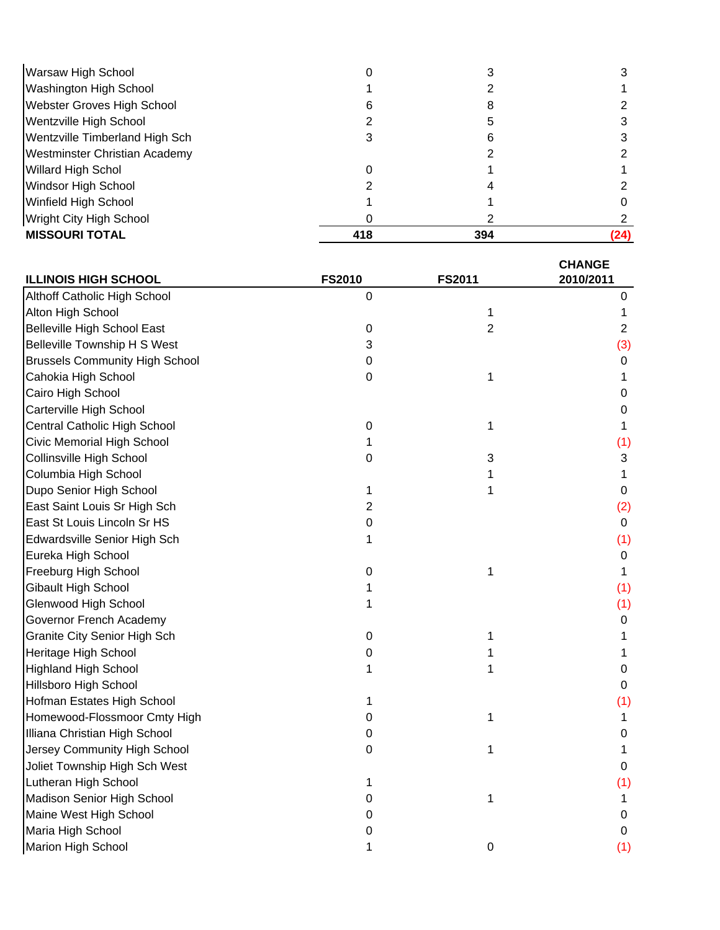| Warsaw High School                   |     |     |      |
|--------------------------------------|-----|-----|------|
| <b>Washington High School</b>        |     |     |      |
| <b>Webster Groves High School</b>    |     |     |      |
| Wentzville High School               |     |     |      |
| Wentzville Timberland High Sch       |     |     |      |
| <b>Westminster Christian Academy</b> |     |     |      |
| <b>Willard High Schol</b>            |     |     |      |
| <b>Windsor High School</b>           |     |     |      |
| <b>Winfield High School</b>          |     |     |      |
| <b>Wright City High School</b>       |     |     |      |
| <b>MISSOURI TOTAL</b>                | 418 | 394 | (24) |

| <b>ILLINOIS HIGH SCHOOL</b>           | <b>FS2010</b>    | FS2011           | <b>CHANGE</b><br>2010/2011 |
|---------------------------------------|------------------|------------------|----------------------------|
| Althoff Catholic High School          | $\mathbf 0$      |                  | 0                          |
| Alton High School                     |                  | $\mathbf 1$      | 1                          |
| <b>Belleville High School East</b>    | $\boldsymbol{0}$ | $\overline{2}$   | $\overline{2}$             |
| <b>Belleville Township H S West</b>   | 3                |                  | (3)                        |
| <b>Brussels Community High School</b> | $\boldsymbol{0}$ |                  | 0                          |
| Cahokia High School                   | $\mathbf 0$      | 1                | 1                          |
| Cairo High School                     |                  |                  | 0                          |
| Carterville High School               |                  |                  | 0                          |
| Central Catholic High School          | $\boldsymbol{0}$ | 1                | 1                          |
| Civic Memorial High School            | 1                |                  | (1)                        |
| Collinsville High School              | 0                | 3                | 3                          |
| Columbia High School                  |                  | 1                | 1                          |
| Dupo Senior High School               | 1                | 1                | $\boldsymbol{0}$           |
| East Saint Louis Sr High Sch          | 2                |                  | (2)                        |
| East St Louis Lincoln Sr HS           | 0                |                  | $\pmb{0}$                  |
| Edwardsville Senior High Sch          | 1                |                  | (1)                        |
| Eureka High School                    |                  |                  | 0                          |
| Freeburg High School                  | $\boldsymbol{0}$ | 1                | 1                          |
| Gibault High School                   | 1                |                  | (1)                        |
| Glenwood High School                  | 1                |                  | (1)                        |
| Governor French Academy               |                  |                  | $\boldsymbol{0}$           |
| Granite City Senior High Sch          | $\pmb{0}$        | 1                | 1                          |
| Heritage High School                  | 0                | 1                | 1                          |
| <b>Highland High School</b>           | 1                | 1                | $\boldsymbol{0}$           |
| Hillsboro High School                 |                  |                  | 0                          |
| Hofman Estates High School            | 1                |                  | (1)                        |
| Homewood-Flossmoor Cmty High          | 0                | 1                | 1                          |
| Illiana Christian High School         | 0                |                  | 0                          |
| Jersey Community High School          | $\boldsymbol{0}$ | 1                | 1                          |
| Joliet Township High Sch West         |                  |                  | 0                          |
| Lutheran High School                  | 1                |                  | (1)                        |
| Madison Senior High School            | 0                | 1                | 1                          |
| Maine West High School                | 0                |                  | $\boldsymbol{0}$           |
| Maria High School                     | 0                |                  | $\mathbf 0$                |
| Marion High School                    | 1                | $\boldsymbol{0}$ | (1)                        |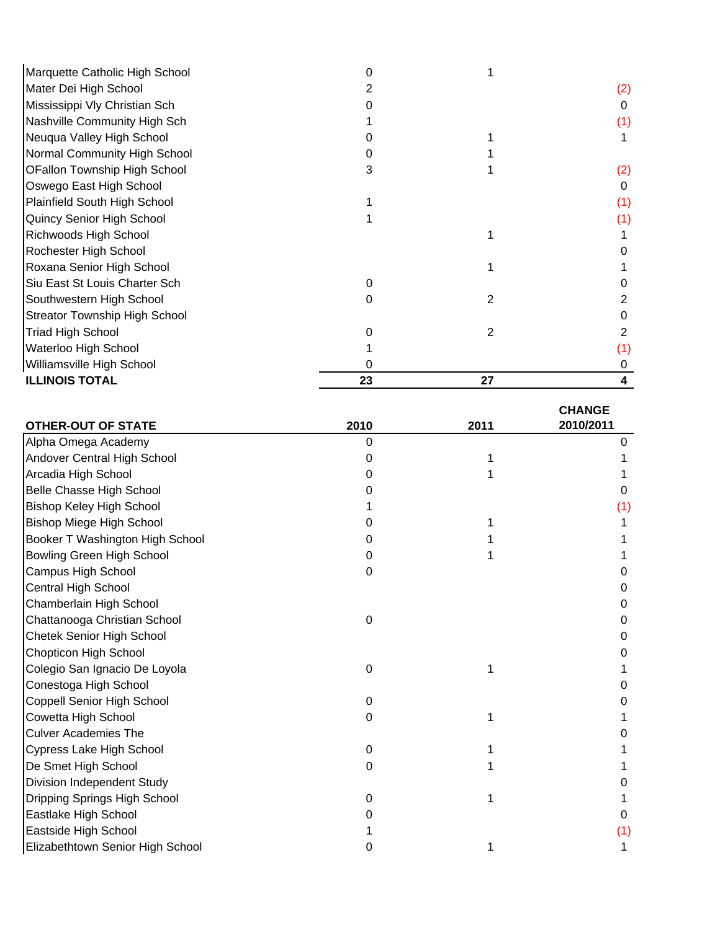| <b>ILLINOIS TOTAL</b>                | 23 | 27 |     |
|--------------------------------------|----|----|-----|
| Williamsville High School            |    |    |     |
| Waterloo High School                 |    |    |     |
| <b>Triad High School</b>             |    | 2  |     |
| <b>Streator Township High School</b> |    |    |     |
| Southwestern High School             |    | 2  |     |
| Siu East St Louis Charter Sch        |    |    |     |
| Roxana Senior High School            |    |    |     |
| Rochester High School                |    |    |     |
| Richwoods High School                |    |    |     |
| Quincy Senior High School            |    |    | (1) |
| Plainfield South High School         |    |    | (1) |
| Oswego East High School              |    |    | O   |
| <b>OFallon Township High School</b>  | 3  |    | (2) |
| Normal Community High School         |    |    |     |
| Neuqua Valley High School            |    |    |     |
| Nashville Community High Sch         |    |    | (1) |
| Mississippi Vly Christian Sch        |    |    | O   |
| Mater Dei High School                |    |    | (2) |
| Marquette Catholic High School       |    |    |     |
|                                      |    |    |     |

| <b>OTHER-OUT OF STATE</b>         | 2010 | 2011 | <b>CHANGE</b><br>2010/2011 |
|-----------------------------------|------|------|----------------------------|
| Alpha Omega Academy               | 0    |      | 0                          |
| Andover Central High School       | 0    |      |                            |
| Arcadia High School               | O    |      |                            |
| <b>Belle Chasse High School</b>   |      |      | 0                          |
| <b>Bishop Keley High School</b>   |      |      | (1)                        |
| <b>Bishop Miege High School</b>   | O    |      |                            |
| Booker T Washington High School   | 0    |      |                            |
| Bowling Green High School         | 0    |      |                            |
| Campus High School                | 0    |      | 0                          |
| <b>Central High School</b>        |      |      | 0                          |
| Chamberlain High School           |      |      | 0                          |
| Chattanooga Christian School      | 0    |      | 0                          |
| Chetek Senior High School         |      |      | 0                          |
| Chopticon High School             |      |      | 0                          |
| Colegio San Ignacio De Loyola     | 0    |      |                            |
| Conestoga High School             |      |      | 0                          |
| Coppell Senior High School        | 0    |      | O                          |
| Cowetta High School               | 0    |      |                            |
| <b>Culver Academies The</b>       |      |      | $\Omega$                   |
| Cypress Lake High School          | 0    |      |                            |
| De Smet High School               | 0    |      |                            |
| <b>Division Independent Study</b> |      |      | $\Omega$                   |
| Dripping Springs High School      | 0    | 1    |                            |
| Eastlake High School              |      |      | 0                          |
| Eastside High School              |      |      | (1)                        |
| Elizabethtown Senior High School  | 0    |      |                            |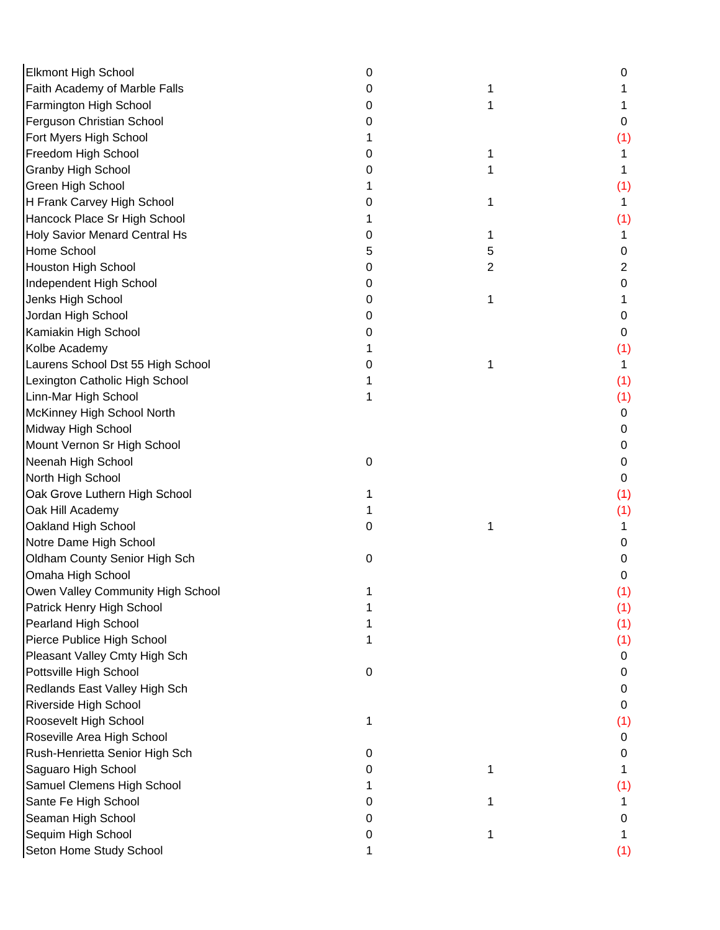| <b>Elkmont High School</b>        | 0         |   | O   |
|-----------------------------------|-----------|---|-----|
| Faith Academy of Marble Falls     | 0         | 1 |     |
| Farmington High School            | O         | 1 |     |
| Ferguson Christian School         | 0         |   | 0   |
| Fort Myers High School            |           |   | (1) |
| Freedom High School               |           | 1 |     |
| <b>Granby High School</b>         |           |   |     |
| Green High School                 |           |   | (1) |
| H Frank Carvey High School        |           | 1 | 1.  |
| Hancock Place Sr High School      |           |   | (1) |
| Holy Savior Menard Central Hs     |           | 1 | 1.  |
| Home School                       |           | 5 | 0   |
| <b>Houston High School</b>        | O         | 2 | 2   |
| Independent High School           | O         |   | 0   |
| Jenks High School                 | O         | 1 |     |
| Jordan High School                | 0         |   | 0   |
| Kamiakin High School              |           |   | 0   |
| Kolbe Academy                     |           |   | (1) |
| Laurens School Dst 55 High School | O         | 1 | 1   |
| Lexington Catholic High School    |           |   | (1) |
| Linn-Mar High School              |           |   | (1) |
| McKinney High School North        |           |   | 0   |
| Midway High School                |           |   | 0   |
| Mount Vernon Sr High School       |           |   | 0   |
| Neenah High School                | $\pmb{0}$ |   | 0   |
| North High School                 |           |   | 0   |
| Oak Grove Luthern High School     |           |   | (1) |
| Oak Hill Academy                  |           |   | (1) |
| Oakland High School               | 0         | 1 | 1   |
| Notre Dame High School            |           |   | 0   |
| Oldham County Senior High Sch     | 0         |   | 0   |
| Omaha High School                 |           |   | 0   |
| Owen Valley Community High School |           |   | (1) |
| Patrick Henry High School         |           |   | (1) |
| Pearland High School              |           |   | (1) |
| Pierce Publice High School        |           |   | (1) |
| Pleasant Valley Cmty High Sch     |           |   | 0   |
| Pottsville High School            | $\pmb{0}$ |   | 0   |
| Redlands East Valley High Sch     |           |   | 0   |
| Riverside High School             |           |   | 0   |
| Roosevelt High School             |           |   | (1) |
| Roseville Area High School        |           |   | 0   |
| Rush-Henrietta Senior High Sch    | 0         |   | 0   |
| Saguaro High School               | 0         | 1 |     |
| Samuel Clemens High School        |           |   | (1) |
| Sante Fe High School              | 0         | 1 |     |
| Seaman High School                |           |   | 0   |
| Sequim High School                | 0         | 1 |     |
| Seton Home Study School           |           |   | (1) |